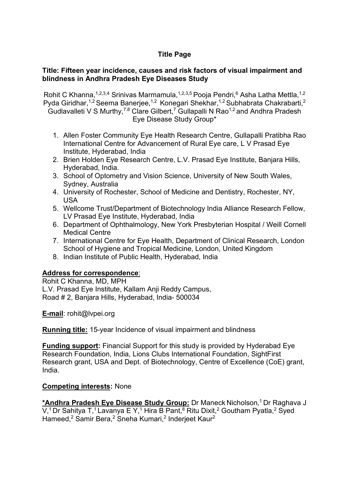# **Title Page**

## **Title: Fifteen year incidence, causes and risk factors of visual impairment and blindness in Andhra Pradesh Eye Diseases Study**

Rohit C Khanna, 1,2,3,4 Srinivas Marmamula, 1,2,3,5 Pooja Pendri,<sup>6</sup> Asha Latha Mettla, 1,2 Pyda Giridhar,<sup>1,2</sup> Seema Banerjee,<sup>1,2</sup> Konegari Shekhar,<sup>1,2</sup> Subhabrata Chakrabarti,<sup>2</sup> Gudlavalleti V S Murthy,<sup>7.8</sup> Clare Gilbert,<sup>7</sup> Gullapalli N Rao<sup>1,2</sup> and Andhra Pradesh Eye Disease Study Group\*

- 1. Allen Foster Community Eye Health Research Centre, Gullapalli Pratibha Rao International Centre for Advancement of Rural Eye care, L V Prasad Eye Institute, Hyderabad, India
- 2. Brien Holden Eye Research Centre, L.V. Prasad Eye Institute, Banjara Hills, Hyderabad, India.
- 3. School of Optometry and Vision Science, University of New South Wales, Sydney, Australia
- 4. University of Rochester, School of Medicine and Dentistry, Rochester, NY, USA
- 5. Wellcome Trust/Department of Biotechnology India Alliance Research Fellow, LV Prasad Eye Institute, Hyderabad, India
- 6. Department of Ophthalmology, New York Presbyterian Hospital / Weill Cornell Medical Centre
- 7. International Centre for Eye Health, Department of Clinical Research, London School of Hygiene and Tropical Medicine, London, United Kingdom
- 8. Indian Institute of Public Health, Hyderabad, India

# **Address for correspondence**:

Rohit C Khanna, MD, MPH L.V. Prasad Eye Institute, Kallam Anji Reddy Campus, Road # 2, Banjara Hills, Hyderabad, India- 500034

**E-mail**: rohit@lvpei.org

**Running title:** 15-year Incidence of visual impairment and blindness

**Funding support:** Financial Support for this study is provided by Hyderabad Eye Research Foundation, India, Lions Clubs International Foundation, SightFirst Research grant, USA and Dept. of Biotechnology, Centre of Excellence (CoE) grant, India.

# **Competing interests:** None

**\*Andhra Pradesh Eye Disease Study Group:** Dr Maneck Nicholson, 1 Dr Raghava J V,<sup>1</sup> Dr Sahitya T,<sup>1</sup> Lavanya E Y,<sup>1</sup> Hira B Pant,<sup>8</sup> Ritu Dixit,<sup>2</sup> Goutham Pyatla,<sup>2</sup> Syed Hameed,<sup>2</sup> Samir Bera,<sup>2</sup> Sneha Kumari,<sup>2</sup> Inderjeet Kaur<sup>2</sup>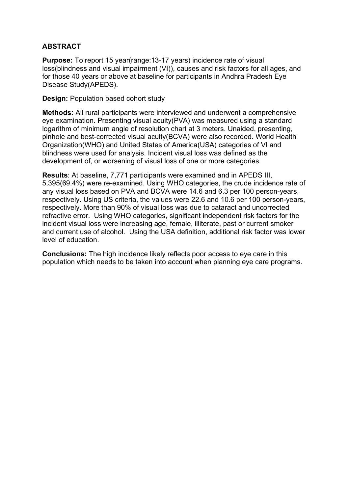# **ABSTRACT**

**Purpose:** To report 15 year(range:13-17 years) incidence rate of visual loss(blindness and visual impairment (VI)), causes and risk factors for all ages, and for those 40 years or above at baseline for participants in Andhra Pradesh Eye Disease Study(APEDS).

**Design:** Population based cohort study

**Methods:** All rural participants were interviewed and underwent a comprehensive eye examination. Presenting visual acuity(PVA) was measured using a standard logarithm of minimum angle of resolution chart at 3 meters. Unaided, presenting, pinhole and best-corrected visual acuity(BCVA) were also recorded. World Health Organization(WHO) and United States of America(USA) categories of VI and blindness were used for analysis. Incident visual loss was defined as the development of, or worsening of visual loss of one or more categories.

**Results**: At baseline, 7,771 participants were examined and in APEDS III, 5,395(69.4%) were re-examined. Using WHO categories, the crude incidence rate of any visual loss based on PVA and BCVA were 14.6 and 6.3 per 100 person-years, respectively. Using US criteria, the values were 22.6 and 10.6 per 100 person-years, respectively. More than 90% of visual loss was due to cataract and uncorrected refractive error. Using WHO categories, significant independent risk factors for the incident visual loss were increasing age, female, illiterate, past or current smoker and current use of alcohol. Using the USA definition, additional risk factor was lower level of education.

**Conclusions:** The high incidence likely reflects poor access to eye care in this population which needs to be taken into account when planning eye care programs.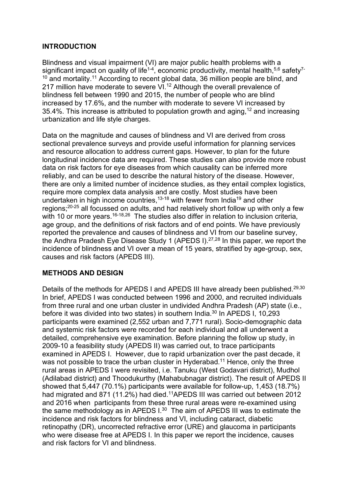# **INTRODUCTION**

Blindness and visual impairment (VI) are major public health problems with a significant impact on quality of life<sup>1-4</sup>, economic productivity, mental health,<sup>5,6</sup> safety<sup>7-</sup> <sup>10</sup> and mortality.<sup>11</sup> According to recent global data, 36 million people are blind, and 217 million have moderate to severe VI.<sup>12</sup> Although the overall prevalence of blindness fell between 1990 and 2015, the number of people who are blind increased by 17.6%, and the number with moderate to severe VI increased by 35.4%. This increase is attributed to population growth and aging,  $12$  and increasing urbanization and life style charges.

Data on the magnitude and causes of blindness and VI are derived from cross sectional prevalence surveys and provide useful information for planning services and resource allocation to address current gaps. However, to plan for the future longitudinal incidence data are required. These studies can also provide more robust data on risk factors for eye diseases from which causality can be inferred more reliably, and can be used to describe the natural history of the disease. However, there are only a limited number of incidence studies, as they entail complex logistics, require more complex data analysis and are costly. Most studies have been undertaken in high income countries,  $13-18$  with fewer from India<sup>19</sup> and other regions;20-25 all focussed on adults, and had relatively short follow up with only a few with 10 or more vears.<sup>16-18,26</sup> The studies also differ in relation to inclusion criteria, age group, and the definitions of risk factors and of end points. We have previously reported the prevalence and causes of blindness and VI from our baseline survey, the Andhra Pradesh Eye Disease Study 1 (APEDS I).27,28 In this paper, we report the incidence of blindness and VI over a mean of 15 years, stratified by age-group, sex, causes and risk factors (APEDS III).

## **METHODS AND DESIGN**

Details of the methods for APEDS I and APEDS III have already been published.<sup>29,30</sup> In brief, APEDS I was conducted between 1996 and 2000, and recruited individuals from three rural and one urban cluster in undivided Andhra Pradesh (AP) state (i.e., before it was divided into two states) in southern India.30 In APEDS I, 10,293 participants were examined (2,552 urban and 7,771 rural). Socio-demographic data and systemic risk factors were recorded for each individual and all underwent a detailed, comprehensive eye examination. Before planning the follow up study, in 2009-10 a feasibility study (APEDS II) was carried out, to trace participants examined in APEDS I. However, due to rapid urbanization over the past decade, it was not possible to trace the urban cluster in Hyderabad.<sup>11</sup> Hence, only the three rural areas in APEDS I were revisited, i.e. Tanuku (West Godavari district), Mudhol (Adilabad district) and Thoodukurthy (Mahabubnagar district). The result of APEDS II showed that 5,447 (70.1%) participants were available for follow-up, 1,453 (18.7%) had migrated and 871 (11.2%) had died.<sup>11</sup>APEDS III was carried out between 2012 and 2016 when participants from these three rural areas were re-examined using the same methodology as in APEDS I.30 The aim of APEDS III was to estimate the incidence and risk factors for blindness and VI, including cataract, diabetic retinopathy (DR), uncorrected refractive error (URE) and glaucoma in participants who were disease free at APEDS I. In this paper we report the incidence, causes and risk factors for VI and blindness.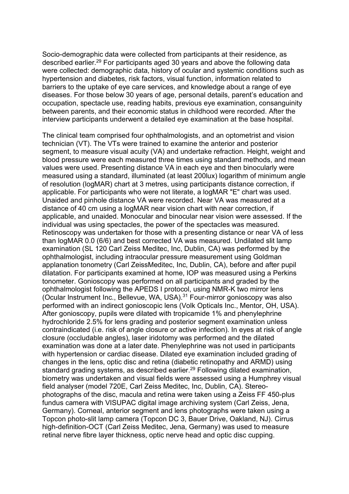Socio-demographic data were collected from participants at their residence, as described earlier.29 For participants aged 30 years and above the following data were collected: demographic data, history of ocular and systemic conditions such as hypertension and diabetes, risk factors, visual function, information related to barriers to the uptake of eye care services, and knowledge about a range of eye diseases. For those below 30 years of age, personal details, parent's education and occupation, spectacle use, reading habits, previous eye examination, consanguinity between parents, and their economic status in childhood were recorded. After the interview participants underwent a detailed eye examination at the base hospital.

The clinical team comprised four ophthalmologists, and an optometrist and vision technician (VT). The VTs were trained to examine the anterior and posterior segment, to measure visual acuity (VA) and undertake refraction. Height, weight and blood pressure were each measured three times using standard methods, and mean values were used. Presenting distance VA in each eye and then binocularly were measured using a standard, illuminated (at least 200lux) logarithm of minimum angle of resolution (logMAR) chart at 3 metres, using participants distance correction, if applicable. For participants who were not literate, a logMAR "E" chart was used. Unaided and pinhole distance VA were recorded. Near VA was measured at a distance of 40 cm using a logMAR near vision chart with near correction, if applicable, and unaided. Monocular and binocular near vision were assessed. If the individual was using spectacles, the power of the spectacles was measured. Retinoscopy was undertaken for those with a presenting distance or near VA of less than logMAR 0.0 (6/6) and best corrected VA was measured. Undilated slit lamp examination (SL 120 Carl Zeiss Meditec, Inc, Dublin, CA) was performed by the ophthalmologist, including intraocular pressure measurement using Goldman applanation tonometry (Carl ZeissMeditec, Inc, Dublin, CA), before and after pupil dilatation. For participants examined at home, IOP was measured using a Perkins tonometer. Gonioscopy was performed on all participants and graded by the ophthalmologist following the APEDS I protocol, using NMR-K two mirror lens (Ocular Instrument Inc., Bellevue, WA, USA).31 Four-mirror gonioscopy was also performed with an indirect gonioscopic lens (Volk Opticals Inc., Mentor, OH, USA). After gonioscopy, pupils were dilated with tropicamide 1% and phenylephrine hydrochloride 2.5% for lens grading and posterior segment examination unless contraindicated (i.e. risk of angle closure or active infection). In eyes at risk of angle closure (occludable angles), laser iridotomy was performed and the dilated examination was done at a later date. Phenylephrine was not used in participants with hypertension or cardiac disease. Dilated eye examination included grading of changes in the lens, optic disc and retina (diabetic retinopathy and ARMD) using standard grading systems, as described earlier.<sup>29</sup> Following dilated examination, biometry was undertaken and visual fields were assessed using a Humphrey visual field analyser (model 720E, Carl Zeiss Meditec, Inc, Dublin, CA). Stereophotographs of the disc, macula and retina were taken using a Zeiss FF 450-plus fundus camera with VISUPAC digital image archiving system (Carl Zeiss, Jena, Germany). Corneal, anterior segment and lens photographs were taken using a Topcon photo-slit lamp camera (Topcon DC 3, Bauer Drive, Oakland, NJ). Cirrus high-definition-OCT (Carl Zeiss Meditec, Jena, Germany) was used to measure retinal nerve fibre layer thickness, optic nerve head and optic disc cupping.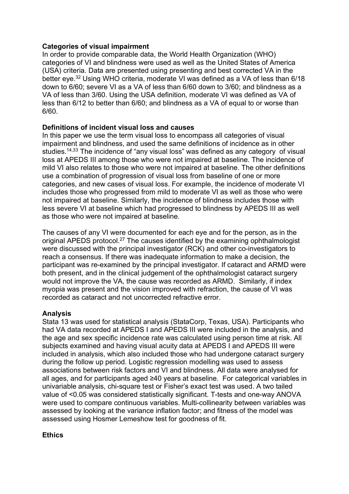## **Categories of visual impairment**

In order to provide comparable data, the World Health Organization (WHO) categories of VI and blindness were used as well as the United States of America (USA) criteria. Data are presented using presenting and best corrected VA in the better eye.32 Using WHO criteria, moderate VI was defined as a VA of less than 6/18 down to 6/60; severe VI as a VA of less than 6/60 down to 3/60; and blindness as a VA of less than 3/60. Using the USA definition, moderate VI was defined as VA of less than 6/12 to better than 6/60; and blindness as a VA of equal to or worse than 6/60.

# **Definitions of incident visual loss and causes**

In this paper we use the term visual loss to encompass all categories of visual impairment and blindness, and used the same definitions of incidence as in other studies.<sup>14,33</sup> The incidence of "any visual loss" was defined as any category of visual loss at APEDS III among those who were not impaired at baseline. The incidence of mild VI also relates to those who were not impaired at baseline. The other definitions use a combination of progression of visual loss from baseline of one or more categories, and new cases of visual loss. For example, the incidence of moderate VI includes those who progressed from mild to moderate VI as well as those who were not impaired at baseline. Similarly, the incidence of blindness includes those with less severe VI at baseline which had progressed to blindness by APEDS III as well as those who were not impaired at baseline.

The causes of any VI were documented for each eye and for the person, as in the original APEDS protocol.<sup>27</sup> The causes identified by the examining ophthalmologist were discussed with the principal investigator (RCK) and other co-investigators to reach a consensus. If there was inadequate information to make a decision, the participant was re-examined by the principal investigator. If cataract and ARMD were both present, and in the clinical judgement of the ophthalmologist cataract surgery would not improve the VA, the cause was recorded as ARMD. Similarly, if index myopia was present and the vision improved with refraction, the cause of VI was recorded as cataract and not uncorrected refractive error.

## **Analysis**

Stata 13 was used for statistical analysis (StataCorp, Texas, USA). Participants who had VA data recorded at APEDS I and APEDS III were included in the analysis, and the age and sex specific incidence rate was calculated using person time at risk. All subjects examined and having visual acuity data at APEDS I and APEDS III were included in analysis, which also included those who had undergone cataract surgery during the follow up period. Logistic regression modelling was used to assess associations between risk factors and VI and blindness. All data were analysed for all ages, and for participants aged ≥40 years at baseline. For categorical variables in univariable analysis, chi-square test or Fisher's exact test was used. A two tailed value of <0.05 was considered statistically significant. T-tests and one-way ANOVA were used to compare continuous variables. Multi-collinearity between variables was assessed by looking at the variance inflation factor; and fitness of the model was assessed using Hosmer Lemeshow test for goodness of fit.

## **Ethics**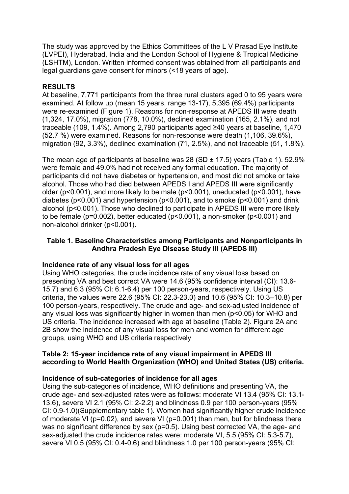The study was approved by the Ethics Committees of the L V Prasad Eye Institute (LVPEI), Hyderabad, India and the London School of Hygiene & Tropical Medicine (LSHTM), London. Written informed consent was obtained from all participants and legal guardians gave consent for minors (<18 years of age).

# **RESULTS**

At baseline, 7,771 participants from the three rural clusters aged 0 to 95 years were examined. At follow up (mean 15 years, range 13-17), 5,395 (69.4%) participants were re-examined (Figure 1). Reasons for non-response at APEDS III were death (1,324, 17.0%), migration (778, 10.0%), declined examination (165, 2.1%), and not traceable (109, 1.4%). Among 2,790 participants aged ≥40 years at baseline, 1,470 (52.7 %) were examined. Reasons for non-response were death (1,106, 39.6%), migration (92, 3.3%), declined examination (71, 2.5%), and not traceable (51, 1.8%).

The mean age of participants at baseline was 28 (SD  $\pm$  17.5) years (Table 1). 52.9% were female and 49.0% had not received any formal education. The majority of participants did not have diabetes or hypertension, and most did not smoke or take alcohol. Those who had died between APEDS I and APEDS III were significantly older (p<0.001), and more likely to be male (p<0.001), uneducated (p<0.001), have diabetes (p<0.001) and hypertension (p<0.001), and to smoke (p<0.001) and drink alcohol (p<0.001). Those who declined to participate in APEDS III were more likely to be female (p=0.002), better educated (p<0.001), a non-smoker (p<0.001) and non-alcohol drinker (p<0.001).

## **Table 1. Baseline Characteristics among Participants and Nonparticipants in Andhra Pradesh Eye Disease Study III (APEDS III)**

## **Incidence rate of any visual loss for all ages**

Using WHO categories, the crude incidence rate of any visual loss based on presenting VA and best correct VA were 14.6 (95% confidence interval (CI): 13.6- 15.7) and 6.3 (95% CI: 6.1-6.4) per 100 person-years, respectively. Using US criteria, the values were 22.6 (95% CI: 22.3-23.0) and 10.6 (95% CI: 10.3–10.8) per 100 person-years, respectively. The crude and age- and sex-adjusted incidence of any visual loss was significantly higher in women than men (p<0.05) for WHO and US criteria. The incidence increased with age at baseline (Table 2). Figure 2A and 2B show the incidence of any visual loss for men and women for different age groups, using WHO and US criteria respectively

## **Table 2: 15-year incidence rate of any visual impairment in APEDS III according to World Health Organization (WHO) and United States (US) criteria.**

## **Incidence of sub-categories of incidence for all ages**

Using the sub-categories of incidence, WHO definitions and presenting VA, the crude age- and sex-adjusted rates were as follows: moderate VI 13.4 (95% CI: 13.1- 13.6), severe VI 2.1 (95% CI: 2-2.2) and blindness 0.9 per 100 person-years (95% CI: 0.9-1.0)(Supplementary table 1). Women had significantly higher crude incidence of moderate VI (p=0.02), and severe VI (p=0.001) than men, but for blindness there was no significant difference by sex (p=0.5). Using best corrected VA, the age- and sex-adjusted the crude incidence rates were: moderate VI, 5.5 (95% CI: 5.3-5.7), severe VI 0.5 (95% CI: 0.4-0.6) and blindness 1.0 per 100 person-years (95% CI: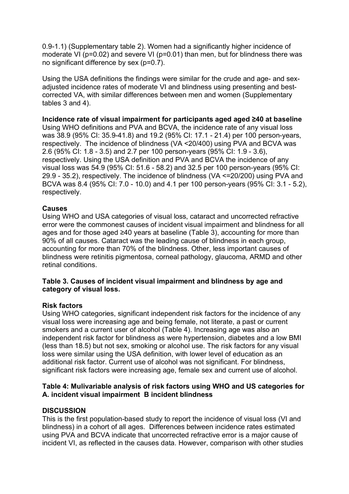0.9-1.1) (Supplementary table 2). Women had a significantly higher incidence of moderate VI (p=0.02) and severe VI (p=0.01) than men, but for blindness there was no significant difference by sex (p=0.7).

Using the USA definitions the findings were similar for the crude and age- and sexadjusted incidence rates of moderate VI and blindness using presenting and bestcorrected VA, with similar differences between men and women (Supplementary tables 3 and 4).

### **Incidence rate of visual impairment for participants aged aged ≥40 at baseline**

Using WHO definitions and PVA and BCVA, the incidence rate of any visual loss was 38.9 (95% CI: 35.9-41.8) and 19.2 (95% CI: 17.1 - 21.4) per 100 person-years, respectively. The incidence of blindness (VA <20/400) using PVA and BCVA was 2.6 (95% CI: 1.8 - 3.5) and 2.7 per 100 person-years (95% CI: 1.9 - 3.6), respectively. Using the USA definition and PVA and BCVA the incidence of any visual loss was 54.9 (95% CI: 51.6 - 58.2) and 32.5 per 100 person-years (95% CI: 29.9 - 35.2), respectively. The incidence of blindness (VA <=20/200) using PVA and BCVA was 8.4 (95% CI: 7.0 - 10.0) and 4.1 per 100 person-years (95% CI: 3.1 - 5.2), respectively.

#### **Causes**

Using WHO and USA categories of visual loss, cataract and uncorrected refractive error were the commonest causes of incident visual impairment and blindness for all ages and for those aged ≥40 years at baseline (Table 3), accounting for more than 90% of all causes. Cataract was the leading cause of blindness in each group, accounting for more than 70% of the blindness. Other, less important causes of blindness were retinitis pigmentosa, corneal pathology, glaucoma, ARMD and other retinal conditions.

#### **Table 3. Causes of incident visual impairment and blindness by age and category of visual loss.**

## **Risk factors**

Using WHO categories, significant independent risk factors for the incidence of any visual loss were increasing age and being female, not literate, a past or current smokers and a current user of alcohol (Table 4). Increasing age was also an independent risk factor for blindness as were hypertension, diabetes and a low BMI (less than 18.5) but not sex, smoking or alcohol use. The risk factors for any visual loss were similar using the USA definition, with lower level of education as an additional risk factor. Current use of alcohol was not significant. For blindness, significant risk factors were increasing age, female sex and current use of alcohol.

## **Table 4: Mulivariable analysis of risk factors using WHO and US categories for A. incident visual impairment B incident blindness**

## **DISCUSSION**

This is the first population-based study to report the incidence of visual loss (VI and blindness) in a cohort of all ages. Differences between incidence rates estimated using PVA and BCVA indicate that uncorrected refractive error is a major cause of incident VI, as reflected in the causes data. However, comparison with other studies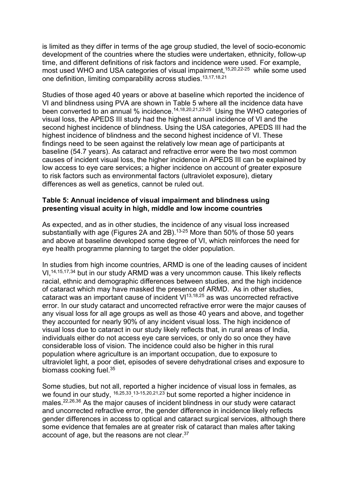is limited as they differ in terms of the age group studied, the level of socio-economic development of the countries where the studies were undertaken, ethnicity, follow-up time, and different definitions of risk factors and incidence were used. For example, most used WHO and USA categories of visual impairment,<sup>15,20,22-25</sup> while some used one definition, limiting comparability across studies.13,17,18,21

Studies of those aged 40 years or above at baseline which reported the incidence of VI and blindness using PVA are shown in Table 5 where all the incidence data have been converted to an annual % incidence.<sup>14,18,20,21,23-25</sup> Using the WHO categories of visual loss, the APEDS III study had the highest annual incidence of VI and the second highest incidence of blindness. Using the USA categories, APEDS III had the highest incidence of blindness and the second highest incidence of VI. These findings need to be seen against the relatively low mean age of participants at baseline (54.7 years). As cataract and refractive error were the two most common causes of incident visual loss, the higher incidence in APEDS III can be explained by low access to eye care services; a higher incidence on account of greater exposure to risk factors such as environmental factors (ultraviolet exposure), dietary differences as well as genetics, cannot be ruled out.

## **Table 5: Annual incidence of visual impairment and blindness using presenting visual acuity in high, middle and low income countries**

As expected, and as in other studies, the incidence of any visual loss increased substantially with age (Figures 2A and 2B).<sup>13-25</sup> More than 50% of those 50 years and above at baseline developed some degree of VI, which reinforces the need for eye health programme planning to target the older population.

In studies from high income countries, ARMD is one of the leading causes of incident VI,14,15,17,34 but in our study ARMD was a very uncommon cause. This likely reflects racial, ethnic and demographic differences between studies, and the high incidence of cataract which may have masked the presence of ARMD. As in other studies, cataract was an important cause of incident  $VI^{13,18,25}$  as was uncorrected refractive error. In our study cataract and uncorrected refractive error were the major causes of any visual loss for all age groups as well as those 40 years and above, and together they accounted for nearly 90% of any incident visual loss. The high incidence of visual loss due to cataract in our study likely reflects that, in rural areas of India, individuals either do not access eye care services, or only do so once they have considerable loss of vision. The incidence could also be higher in this rural population where agriculture is an important occupation, due to exposure to ultraviolet light, a poor diet, episodes of severe dehydrational crises and exposure to biomass cooking fuel.35

Some studies, but not all, reported a higher incidence of visual loss in females, as we found in our study, <sup>16,25,33</sup>.13-15,20,21,23 but some reported a higher incidence in males.22,26,36 As the major causes of incident blindness in our study were cataract and uncorrected refractive error, the gender difference in incidence likely reflects gender differences in access to optical and cataract surgical services, although there some evidence that females are at greater risk of cataract than males after taking account of age, but the reasons are not clear.37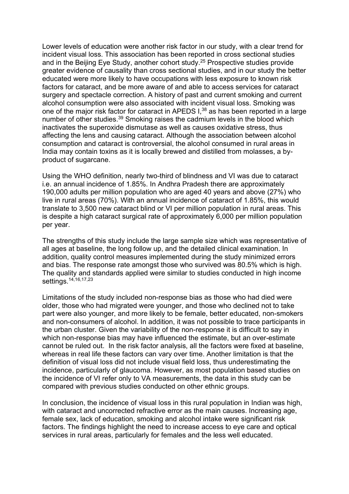Lower levels of education were another risk factor in our study, with a clear trend for incident visual loss. This association has been reported in cross sectional studies and in the Beijing Eye Study, another cohort study.25 Prospective studies provide greater evidence of causality than cross sectional studies, and in our study the better educated were more likely to have occupations with less exposure to known risk factors for cataract, and be more aware of and able to access services for cataract surgery and spectacle correction. A history of past and current smoking and current alcohol consumption were also associated with incident visual loss. Smoking was one of the major risk factor for cataract in APEDS I,<sup>38</sup> as has been reported in a large number of other studies.<sup>39</sup> Smoking raises the cadmium levels in the blood which inactivates the superoxide dismutase as well as causes oxidative stress, thus affecting the lens and causing cataract. Although the association between alcohol consumption and cataract is controversial, the alcohol consumed in rural areas in India may contain toxins as it is locally brewed and distilled from molasses, a byproduct of sugarcane.

Using the WHO definition, nearly two-third of blindness and VI was due to cataract i.e. an annual incidence of 1.85%. In Andhra Pradesh there are approximately 190,000 adults per million population who are aged 40 years and above (27%) who live in rural areas (70%). With an annual incidence of cataract of 1.85%, this would translate to 3,500 new cataract blind or VI per million population in rural areas. This is despite a high cataract surgical rate of approximately 6,000 per million population per year.

The strengths of this study include the large sample size which was representative of all ages at baseline, the long follow up, and the detailed clinical examination. In addition, quality control measures implemented during the study minimized errors and bias. The response rate amongst those who survived was 80.5% which is high. The quality and standards applied were similar to studies conducted in high income settings.<sup>14,16,17,23</sup>

Limitations of the study included non-response bias as those who had died were older, those who had migrated were younger, and those who declined not to take part were also younger, and more likely to be female, better educated, non-smokers and non-consumers of alcohol. In addition, it was not possible to trace participants in the urban cluster. Given the variability of the non-response it is difficult to say in which non-response bias may have influenced the estimate, but an over-estimate cannot be ruled out. In the risk factor analysis, all the factors were fixed at baseline, whereas in real life these factors can vary over time. Another limitation is that the definition of visual loss did not include visual field loss, thus underestimating the incidence, particularly of glaucoma. However, as most population based studies on the incidence of VI refer only to VA measurements, the data in this study can be compared with previous studies conducted on other ethnic groups.

In conclusion, the incidence of visual loss in this rural population in Indian was high, with cataract and uncorrected refractive error as the main causes. Increasing age, female sex, lack of education, smoking and alcohol intake were significant risk factors. The findings highlight the need to increase access to eye care and optical services in rural areas, particularly for females and the less well educated.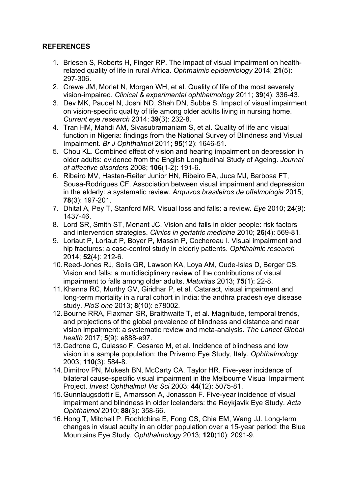# **REFERENCES**

- 1. Briesen S, Roberts H, Finger RP. The impact of visual impairment on healthrelated quality of life in rural Africa. *Ophthalmic epidemiology* 2014; **21**(5): 297-306.
- 2. Crewe JM, Morlet N, Morgan WH, et al. Quality of life of the most severely vision-impaired. *Clinical & experimental ophthalmology* 2011; **39**(4): 336-43.
- 3. Dev MK, Paudel N, Joshi ND, Shah DN, Subba S. Impact of visual impairment on vision-specific quality of life among older adults living in nursing home. *Current eye research* 2014; **39**(3): 232-8.
- 4. Tran HM, Mahdi AM, Sivasubramaniam S, et al. Quality of life and visual function in Nigeria: findings from the National Survey of Blindness and Visual Impairment. *Br J Ophthalmol* 2011; **95**(12): 1646-51.
- 5. Chou KL. Combined effect of vision and hearing impairment on depression in older adults: evidence from the English Longitudinal Study of Ageing. *Journal of affective disorders* 2008; **106**(1-2): 191-6.
- 6. Ribeiro MV, Hasten-Reiter Junior HN, Ribeiro EA, Juca MJ, Barbosa FT, Sousa-Rodrigues CF. Association between visual impairment and depression in the elderly: a systematic review. *Arquivos brasileiros de oftalmologia* 2015; **78**(3): 197-201.
- 7. Dhital A, Pey T, Stanford MR. Visual loss and falls: a review. *Eye* 2010; **24**(9): 1437-46.
- 8. Lord SR, Smith ST, Menant JC. Vision and falls in older people: risk factors and intervention strategies. *Clinics in geriatric medicine* 2010; **26**(4): 569-81.
- 9. Loriaut P, Loriaut P, Boyer P, Massin P, Cochereau I. Visual impairment and hip fractures: a case-control study in elderly patients. *Ophthalmic research* 2014; **52**(4): 212-6.
- 10.Reed-Jones RJ, Solis GR, Lawson KA, Loya AM, Cude-Islas D, Berger CS. Vision and falls: a multidisciplinary review of the contributions of visual impairment to falls among older adults. *Maturitas* 2013; **75**(1): 22-8.
- 11.Khanna RC, Murthy GV, Giridhar P, et al. Cataract, visual impairment and long-term mortality in a rural cohort in India: the andhra pradesh eye disease study. *PloS one* 2013; **8**(10): e78002.
- 12.Bourne RRA, Flaxman SR, Braithwaite T, et al. Magnitude, temporal trends, and projections of the global prevalence of blindness and distance and near vision impairment: a systematic review and meta-analysis. *The Lancet Global health* 2017; **5**(9): e888-e97.
- 13.Cedrone C, Culasso F, Cesareo M, et al. Incidence of blindness and low vision in a sample population: the Priverno Eye Study, Italy. *Ophthalmology* 2003; **110**(3): 584-8.
- 14.Dimitrov PN, Mukesh BN, McCarty CA, Taylor HR. Five-year incidence of bilateral cause-specific visual impairment in the Melbourne Visual Impairment Project. *Invest Ophthalmol Vis Sci* 2003; **44**(12): 5075-81.
- 15.Gunnlaugsdottir E, Arnarsson A, Jonasson F. Five-year incidence of visual impairment and blindness in older Icelanders: the Reykjavik Eye Study. *Acta Ophthalmol* 2010; **88**(3): 358-66.
- 16.Hong T, Mitchell P, Rochtchina E, Fong CS, Chia EM, Wang JJ. Long-term changes in visual acuity in an older population over a 15-year period: the Blue Mountains Eye Study. *Ophthalmology* 2013; **120**(10): 2091-9.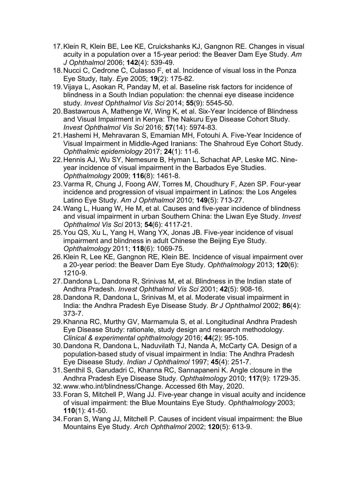- 17.Klein R, Klein BE, Lee KE, Cruickshanks KJ, Gangnon RE. Changes in visual acuity in a population over a 15-year period: the Beaver Dam Eye Study. *Am J Ophthalmol* 2006; **142**(4): 539-49.
- 18.Nucci C, Cedrone C, Culasso F, et al. Incidence of visual loss in the Ponza Eye Study, Italy. *Eye* 2005; **19**(2): 175-82.
- 19.Vijaya L, Asokan R, Panday M, et al. Baseline risk factors for incidence of blindness in a South Indian population: the chennai eye disease incidence study. *Invest Ophthalmol Vis Sci* 2014; **55**(9): 5545-50.
- 20.Bastawrous A, Mathenge W, Wing K, et al. Six-Year Incidence of Blindness and Visual Impairment in Kenya: The Nakuru Eye Disease Cohort Study. *Invest Ophthalmol Vis Sci* 2016; **57**(14): 5974-83.
- 21.Hashemi H, Mehravaran S, Emamian MH, Fotouhi A. Five-Year Incidence of Visual Impairment in Middle-Aged Iranians: The Shahroud Eye Cohort Study. *Ophthalmic epidemiology* 2017; **24**(1): 11-6.
- 22.Hennis AJ, Wu SY, Nemesure B, Hyman L, Schachat AP, Leske MC. Nineyear incidence of visual impairment in the Barbados Eye Studies. *Ophthalmology* 2009; **116**(8): 1461-8.
- 23.Varma R, Chung J, Foong AW, Torres M, Choudhury F, Azen SP. Four-year incidence and progression of visual impairment in Latinos: the Los Angeles Latino Eye Study. *Am J Ophthalmol* 2010; **149**(5): 713-27.
- 24.Wang L, Huang W, He M, et al. Causes and five-year incidence of blindness and visual impairment in urban Southern China: the Liwan Eye Study. *Invest Ophthalmol Vis Sci* 2013; **54**(6): 4117-21.
- 25.You QS, Xu L, Yang H, Wang YX, Jonas JB. Five-year incidence of visual impairment and blindness in adult Chinese the Beijing Eye Study. *Ophthalmology* 2011; **118**(6): 1069-75.
- 26.Klein R, Lee KE, Gangnon RE, Klein BE. Incidence of visual impairment over a 20-year period: the Beaver Dam Eye Study. *Ophthalmology* 2013; **120**(6): 1210-9.
- 27.Dandona L, Dandona R, Srinivas M, et al. Blindness in the Indian state of Andhra Pradesh. *Invest Ophthalmol Vis Sci* 2001; **42**(5): 908-16.
- 28.Dandona R, Dandona L, Srinivas M, et al. Moderate visual impairment in India: the Andhra Pradesh Eye Disease Study. *Br J Ophthalmol* 2002; **86**(4): 373-7.
- 29.Khanna RC, Murthy GV, Marmamula S, et al. Longitudinal Andhra Pradesh Eye Disease Study: rationale, study design and research methodology. *Clinical & experimental ophthalmology* 2016; **44**(2): 95-105.
- 30.Dandona R, Dandona L, Naduvilath TJ, Nanda A, McCarty CA. Design of a population-based study of visual impairment in India: The Andhra Pradesh Eye Disease Study. *Indian J Ophthalmol* 1997; **45**(4): 251-7.
- 31.Senthil S, Garudadri C, Khanna RC, Sannapaneni K. Angle closure in the Andhra Pradesh Eye Disease Study. *Ophthalmology* 2010; **117**(9): 1729-35.
- 32.www.who.int/blindness/Change. Accessed 6th May, 2020.
- 33.Foran S, Mitchell P, Wang JJ. Five-year change in visual acuity and incidence of visual impairment: the Blue Mountains Eye Study. *Ophthalmology* 2003; **110**(1): 41-50.
- 34.Foran S, Wang JJ, Mitchell P. Causes of incident visual impairment: the Blue Mountains Eye Study. *Arch Ophthalmol* 2002; **120**(5): 613-9.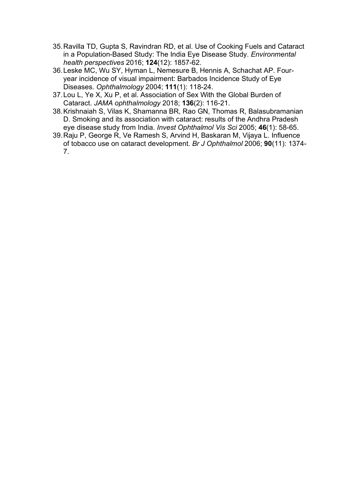- 35.Ravilla TD, Gupta S, Ravindran RD, et al. Use of Cooking Fuels and Cataract in a Population-Based Study: The India Eye Disease Study. *Environmental health perspectives* 2016; **124**(12): 1857-62.
- 36.Leske MC, Wu SY, Hyman L, Nemesure B, Hennis A, Schachat AP. Fouryear incidence of visual impairment: Barbados Incidence Study of Eye Diseases. *Ophthalmology* 2004; **111**(1): 118-24.
- 37.Lou L, Ye X, Xu P, et al. Association of Sex With the Global Burden of Cataract. *JAMA ophthalmology* 2018; **136**(2): 116-21.
- 38.Krishnaiah S, Vilas K, Shamanna BR, Rao GN, Thomas R, Balasubramanian D. Smoking and its association with cataract: results of the Andhra Pradesh eye disease study from India. *Invest Ophthalmol Vis Sci* 2005; **46**(1): 58-65.
- 39.Raju P, George R, Ve Ramesh S, Arvind H, Baskaran M, Vijaya L. Influence of tobacco use on cataract development. *Br J Ophthalmol* 2006; **90**(11): 1374- 7.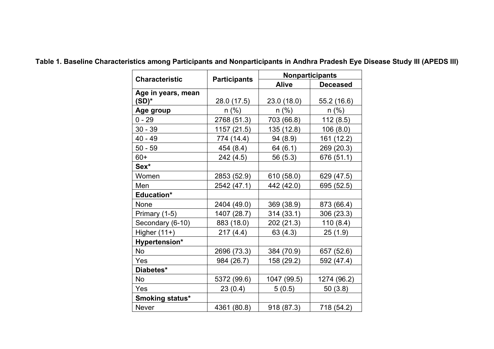|                       |                     | <b>Nonparticipants</b> |                 |  |  |  |  |
|-----------------------|---------------------|------------------------|-----------------|--|--|--|--|
| <b>Characteristic</b> | <b>Participants</b> | <b>Alive</b>           | <b>Deceased</b> |  |  |  |  |
| Age in years, mean    |                     |                        |                 |  |  |  |  |
| $(SD)^*$              | 28.0 (17.5)         | 23.0 (18.0)            | 55.2(16.6)      |  |  |  |  |
| Age group             | $n$ (%)             | $n$ (%)                | $n$ (%)         |  |  |  |  |
| $0 - 29$              | 2768 (51.3)         | 703 (66.8)             | 112(8.5)        |  |  |  |  |
| $30 - 39$             | 1157 (21.5)         | 135 (12.8)             | 106(8.0)        |  |  |  |  |
| 40 - 49               | 774 (14.4)          | 94 (8.9)               | 161 (12.2)      |  |  |  |  |
| $50 - 59$             | 454 (8.4)           | 64 (6.1)               | 269 (20.3)      |  |  |  |  |
| $60+$                 | 242 (4.5)           | 56 (5.3)               | 676 (51.1)      |  |  |  |  |
| Sex*                  |                     |                        |                 |  |  |  |  |
| Women                 | 2853 (52.9)         | 610 (58.0)             | 629 (47.5)      |  |  |  |  |
| Men                   | 2542 (47.1)         | 442 (42.0)             | 695 (52.5)      |  |  |  |  |
| <b>Education*</b>     |                     |                        |                 |  |  |  |  |
| None                  | 2404 (49.0)         | 369 (38.9)             | 873 (66.4)      |  |  |  |  |
| Primary (1-5)         | 1407 (28.7)         | 314(33.1)              | 306 (23.3)      |  |  |  |  |
| Secondary (6-10)      | 883 (18.0)          | 202 (21.3)             | 110(8.4)        |  |  |  |  |
| Higher $(11+)$        | 217(4.4)            | 63 (4.3)               | 25(1.9)         |  |  |  |  |
| Hypertension*         |                     |                        |                 |  |  |  |  |
| No                    | 2696 (73.3)         | 384 (70.9)             | 657 (52.6)      |  |  |  |  |
| Yes                   | 984 (26.7)          | 158 (29.2)             | 592 (47.4)      |  |  |  |  |
| Diabetes*             |                     |                        |                 |  |  |  |  |
| <b>No</b>             | 5372 (99.6)         | 1047 (99.5)            | 1274 (96.2)     |  |  |  |  |
| Yes                   | 23(0.4)             | 5(0.5)                 | 50(3.8)         |  |  |  |  |
| Smoking status*       |                     |                        |                 |  |  |  |  |
| <b>Never</b>          | 4361 (80.8)         | 918 (87.3)             | 718 (54.2)      |  |  |  |  |

**Table 1. Baseline Characteristics among Participants and Nonparticipants in Andhra Pradesh Eye Disease Study III (APEDS III)**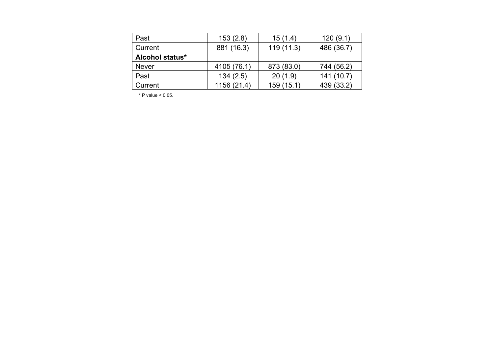| Past                   | 153(2.8)    | 15(1.4)    | 120(9.1)   |
|------------------------|-------------|------------|------------|
| Current                | 881 (16.3)  | 119(11.3)  | 486 (36.7) |
| <b>Alcohol status*</b> |             |            |            |
| Never                  | 4105 (76.1) | 873 (83.0) | 744 (56.2) |
| Past                   | 134(2.5)    | 20(1.9)    | 141(10.7)  |
| Current                | 1156 (21.4) | 159 (15.1) | 439 (33.2) |

 $*$  P value  $< 0.05$ .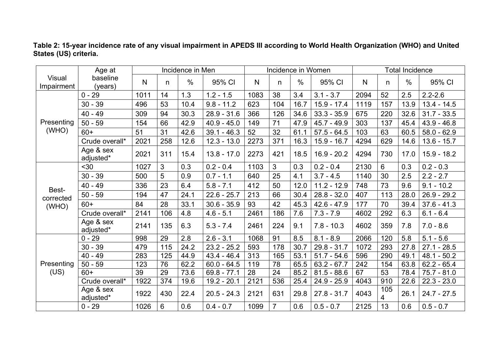|                      | Age at                 | Incidence in Men |     |               |               |      | Incidence in Women |               |               | <b>Total Incidence</b> |          |               |               |
|----------------------|------------------------|------------------|-----|---------------|---------------|------|--------------------|---------------|---------------|------------------------|----------|---------------|---------------|
| Visual<br>Impairment | baseline<br>(years)    | N                | n   | $\frac{0}{0}$ | 95% CI        | N    | n                  | $\frac{0}{0}$ | 95% CI        | N                      | n        | $\frac{0}{0}$ | 95% CI        |
|                      | $0 - 29$               | 1011             | 14  | 1.3           | $1.2 - 1.5$   | 1083 | 38                 | 3.4           | $3.1 - 3.7$   | 2094                   | 52       | 2.5           | $2.2 - 2.6$   |
|                      | $30 - 39$              | 496              | 53  | 10.4          | $9.8 - 11.2$  | 623  | 104                | 16.7          | $15.9 - 17.4$ | 1119                   | 157      | 13.9          | $13.4 - 14.5$ |
|                      | 40 - 49                | 309              | 94  | 30.3          | $28.9 - 31.6$ | 366  | 126                | 34.6          | $33.3 - 35.9$ | 675                    | 220      | 32.6          | $31.7 - 33.5$ |
| Presenting           | $50 - 59$              | 154              | 66  | 42.9          | $40.9 - 45.0$ | 149  | 71                 | 47.9          | $45.7 - 49.9$ | 303                    | 137      | 45.4          | $43.9 - 46.8$ |
| (WHO)                | $60+$                  | 51               | 31  | 42.6          | $39.1 - 46.3$ | 52   | 32                 | 61.1          | $57.5 - 64.5$ | 103                    | 63       | 60.5          | $58.0 - 62.9$ |
|                      | Crude overall*         | 2021             | 258 | 12.6          | $12.3 - 13.0$ | 2273 | 371                | 16.3          | $15.9 - 16.7$ | 4294                   | 629      | 14.6          | $13.6 - 15.7$ |
|                      | Age & sex<br>adjusted* | 2021             | 311 | 15.4          | $13.8 - 17.0$ | 2273 | 421                | 18.5          | $16.9 - 20.2$ | 4294                   | 730      | 17.0          | $15.9 - 18.2$ |
|                      | $30$                   | 1027             | 3   | 0.3           | $0.2 - 0.4$   | 1103 | 3                  | 0.3           | $0.2 - 0.4$   | 2130                   | 6        | 0.3           | $0.2 - 0.3$   |
|                      | $30 - 39$              | 500              | 5   | 0.9           | $0.7 - 1.1$   | 640  | 25                 | 4.1           | $3.7 - 4.5$   | 1140                   | 30       | 2.5           | $2.2 - 2.7$   |
|                      | 40 - 49                | 336              | 23  | 6.4           | $5.8 - 7.1$   | 412  | 50                 | 12.0          | $11.2 - 12.9$ | 748                    | 73       | 9.6           | $9.1 - 10.2$  |
| Best-<br>corrected   | $50 - 59$              | 194              | 47  | 24.1          | $22.6 - 25.7$ | 213  | 66                 | 30.4          | $28.8 - 32.0$ | 407                    | 113      | 28.0          | $26.9 - 29.2$ |
| (WHO)                | $60+$                  | 84               | 28  | 33.1          | $30.6 - 35.9$ | 93   | 42                 | 45.3          | $42.6 - 47.9$ | 177                    | 70       | 39.4          | $37.6 - 41.3$ |
|                      | Crude overall*         | 2141             | 106 | 4.8           | $4.6 - 5.1$   | 2461 | 186                | 7.6           | $7.3 - 7.9$   | 4602                   | 292      | 6.3           | $6.1 - 6.4$   |
|                      | Age & sex<br>adjusted* | 2141             | 135 | 6.3           | $5.3 - 7.4$   | 2461 | 224                | 9.1           | $7.8 - 10.3$  | 4602                   | 359      | 7.8           | $7.0 - 8.6$   |
|                      | $0 - 29$               | 998              | 29  | 2.8           | $2.6 - 3.1$   | 1068 | 91                 | 8.5           | $8.1 - 8.9$   | 2066                   | 120      | 5.8           | $5.1 - 5.6$   |
|                      | $30 - 39$              | 479              | 115 | 24.2          | $23.2 - 25.2$ | 593  | 178                | 30.7          | $29.8 - 31.7$ | 1072                   | 293      | 27.8          | $27.1 - 28.5$ |
|                      | $40 - 49$              | 283              | 125 | 44.9          | $43.4 - 46.4$ | 313  | 165                | 53.1          | $51.7 - 54.6$ | 596                    | 290      | 49.1          | $48.1 - 50.2$ |
| Presenting           | $50 - 59$              | 123              | 76  | 62.2          | $60.0 - 64.5$ | 119  | 78                 | 65.5          | $63.2 - 67.7$ | 242                    | 154      | 63.8          | $62.2 - 65.4$ |
| (US)                 | $60+$                  | 39               | 29  | 73.6          | $69.8 - 77.1$ | 28   | 24                 | 85.2          | $81.5 - 88.6$ | 67                     | 53       | 78.4          | $75.7 - 81.0$ |
|                      | Crude overall*         | 1922             | 374 | 19.6          | 19.2 - 20.1   | 2121 | 536                | 25.4          | $24.9 - 25.9$ | 4043                   | 910      | 22.6          | $22.3 - 23.0$ |
|                      | Age & sex<br>adjusted* | 1922             | 430 | 22.4          | $20.5 - 24.3$ | 2121 | 631                | 29.8          | $27.8 - 31.7$ | 4043                   | 105<br>4 | 26.1          | $24.7 - 27.5$ |
|                      | $0 - 29$               | 1026             | 6   | 0.6           | $0.4 - 0.7$   | 1099 | $\overline{7}$     | 0.6           | $0.5 - 0.7$   | 2125                   | 13       | 0.6           | $0.5 - 0.7$   |

# **Table 2: 15-year incidence rate of any visual impairment in APEDS III according to World Health Organization (WHO) and United States (US) criteria.**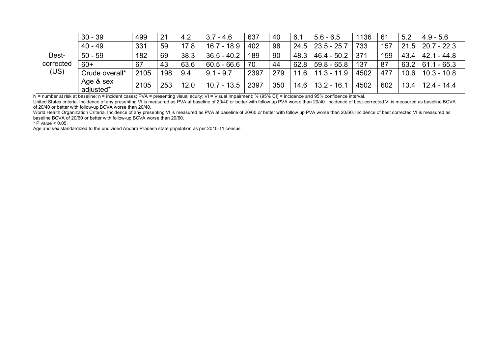|                    | $30 - 39$              | 499  | 21  | 4.2  | $3.7 - 4.6$   | 637  | 40  | 6.1  | $5.6 - 6.5$          | 1136 | 61  | 5.2  | $4.9 - 5.6$          |
|--------------------|------------------------|------|-----|------|---------------|------|-----|------|----------------------|------|-----|------|----------------------|
|                    | $40 - 49$              | 331  | 59  | 17.8 | $16.7 - 18.9$ | 402  | 98  |      | $24.5$   23.5 - 25.7 | 733  | 157 |      | $21.5$   20.7 - 22.3 |
| Best-<br>corrected | $50 - 59$              | 182  | 69  | 38.3 | $36.5 - 40.2$ | 189  | 90  | 48.3 | $46.4 - 50.2$        | 371  | 159 | 43.4 | $42.1 - 44.8$        |
|                    | $60+$                  | 67   | 43  | 63.6 | $60.5 - 66.6$ | 70   | 44  | 62.8 | $59.8 - 65.8$        | 137  | 87  | 63.2 | $61.1 - 65.3$        |
| (US)               | Crude overall*         | 2105 | 198 | 9.4  | $9.1 - 9.7$   | 2397 | 279 | 11.6 | $11.3 - 11.9$        | 4502 | 477 | 10.6 | $10.3 - 10.8$        |
|                    | Age & sex<br>adjusted* | 2105 | 253 | 12.0 | $10.7 - 13.5$ | 2397 | 350 | 14.6 | $13.2 - 16.1$        | 4502 | 602 | 13.4 | $12.4 - 14.4$        |

N = number at risk at baseline; n = incident cases; PVA = presenting visual acuity; VI = Visual Impairment; % (95% CI) = incidence and 95% confidence interval.

United States criteria. Incidence of any presenting VI is measured as PVA at baseline of 20/40 or better with follow up PVA worse than 20/40. Incidence of best-corrected VI is measured as baseline BCVA of 20/40 or better with follow-up BCVA worse than 20/40.

World Health Organization Criteria. Incidence of any presenting VI is measured as PVA at baseline of 20/60 or better with follow up PVA worse than 20/60. Incidence of best corrected VI is measured as baseline BCVA of 20/60 or better with follow-up BCVA worse than 20/60.

 $*$  P value  $< 0.05$ .

Age and sex standardized to the undivided Andhra Pradesh state population as per 2010-11 census.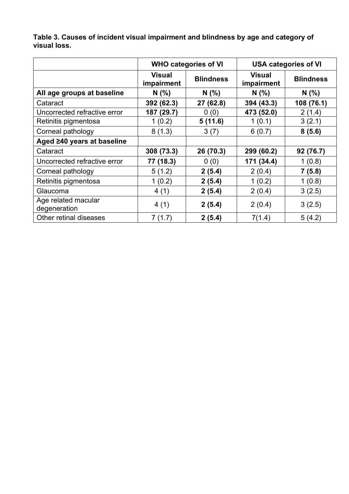**Table 3. Causes of incident visual impairment and blindness by age and category of visual loss.** 

|                                     |                             | <b>WHO categories of VI</b> |                             | <b>USA categories of VI</b> |
|-------------------------------------|-----------------------------|-----------------------------|-----------------------------|-----------------------------|
|                                     | <b>Visual</b><br>impairment | <b>Blindness</b>            | <b>Visual</b><br>impairment | <b>Blindness</b>            |
| All age groups at baseline          | N(%                         | N(%                         | N(% )                       | N(% )                       |
| Cataract                            | 392 (62.3)                  | 27 (62.8)                   | 394 (43.3)                  | 108 (76.1)                  |
| Uncorrected refractive error        | 187 (29.7)                  | 0(0)                        | 473 (52.0)                  | 2(1.4)                      |
| Retinitis pigmentosa                | 1(0.2)                      | 5(11.6)                     | 1(0.1)                      | 3(2.1)                      |
| Corneal pathology                   | 8(1.3)                      | 3(7)                        | 6(0.7)                      | 8(5.6)                      |
| Aged ≥40 years at baseline          |                             |                             |                             |                             |
| Cataract                            | 308 (73.3)                  | 26 (70.3)                   | 299 (60.2)                  | 92 (76.7)                   |
| Uncorrected refractive error        | 77 (18.3)                   | 0(0)                        | 171 (34.4)                  | 1(0.8)                      |
| Corneal pathology                   | 5(1.2)                      | 2(5.4)                      | 2(0.4)                      | 7(5.8)                      |
| Retinitis pigmentosa                | 1(0.2)                      | 2(5.4)                      | 1(0.2)                      | 1(0.8)                      |
| Glaucoma                            | 4(1)                        | 2(5.4)                      | 2(0.4)                      | 3(2.5)                      |
| Age related macular<br>degeneration | 4(1)                        | 2(5.4)                      | 2(0.4)                      | 3(2.5)                      |
| Other retinal diseases              | 7(1.7)                      | 2(5.4)                      | 7(1.4)                      | 5(4.2)                      |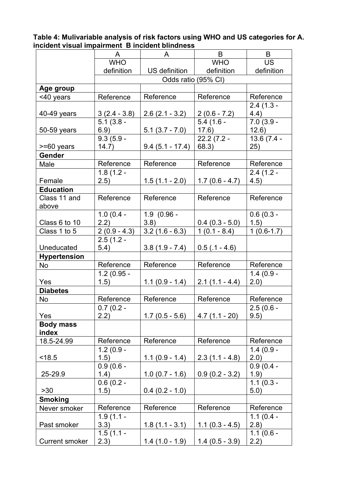| Table 4: Mulivariable analysis of risk factors using WHO and US categories for A. |  |
|-----------------------------------------------------------------------------------|--|
| incident visual impairment B incident blindness                                   |  |

|                       | A              | A                   | B                 | B            |
|-----------------------|----------------|---------------------|-------------------|--------------|
|                       | <b>WHO</b>     |                     | <b>WHO</b>        | <b>US</b>    |
|                       | definition     | US definition       | definition        | definition   |
|                       |                | Odds ratio (95% CI) |                   |              |
| Age group             |                |                     |                   |              |
| <40 years             | Reference      | Reference           | Reference         | Reference    |
|                       |                |                     |                   | $2.4(1.3 -$  |
| 40-49 years           | $3(2.4 - 3.8)$ | $2.6(2.1 - 3.2)$    | $2(0.6 - 7.2)$    | 4.4)         |
|                       | $5.1(3.8 -$    |                     | $5.4(1.6 -$       | $7.0(3.9 -$  |
| 50-59 years           | 6.9)           | $5.1(3.7 - 7.0)$    | 17.6)             | 12.6)        |
|                       | $9.3(5.9 -$    |                     | $22.2(7.2 -$      | 13.6 (7.4 -  |
| $>= 60$ years         | 14.7)          | $9.4(5.1 - 17.4)$   | 68.3)             | 25)          |
| <b>Gender</b>         |                |                     |                   |              |
| Male                  | Reference      | Reference           | Reference         | Reference    |
|                       | $1.8(1.2 -$    |                     |                   | $2.4(1.2 -$  |
| Female                | 2.5)           | $1.5(1.1 - 2.0)$    | $1.7(0.6 - 4.7)$  | 4.5)         |
| <b>Education</b>      |                |                     |                   |              |
| Class 11 and          | Reference      | Reference           | Reference         | Reference    |
| above                 |                |                     |                   |              |
|                       | $1.0(0.4 -$    | $1.9(0.96 -$        |                   | $0.6(0.3 -$  |
| Class 6 to 10         | (2.2)          | 3.8)                | $0.4$ (0.3 - 5.0) | 1.5)         |
| Class 1 to 5          | $2(0.9 - 4.3)$ | $3.2(1.6 - 6.3)$    | $1(0.1 - 8.4)$    | $1(0.6-1.7)$ |
|                       | $2.5(1.2 -$    |                     |                   |              |
| Uneducated            | 5.4)           | $3.8(1.9 - 7.4)$    | $0.5$ (.1 - 4.6)  |              |
| <b>Hypertension</b>   |                |                     |                   |              |
| No                    | Reference      | Reference           | Reference         | Reference    |
|                       | $1.2(0.95 -$   |                     |                   | $1.4(0.9 -$  |
| Yes                   | (1.5)          | $1.1(0.9 - 1.4)$    | $2.1(1.1 - 4.4)$  | 2.0)         |
| <b>Diabetes</b>       |                |                     |                   |              |
| No                    | Reference      | Reference           | Reference         | Reference    |
|                       | $0.7(0.2 -$    |                     |                   | $2.5(0.6 -$  |
| Yes                   | 2.2)           | $1.7(0.5 - 5.6)$    | $4.7(1.1 - 20)$   | 9.5)         |
| <b>Body mass</b>      |                |                     |                   |              |
| index                 |                |                     |                   |              |
| 18.5-24.99            | Reference      | Reference           | Reference         | Reference    |
|                       | $1.2(0.9 -$    |                     |                   | $1.4(0.9 -$  |
| < 18.5                | (1.5)          | $1.1(0.9 - 1.4)$    | $2.3(1.1 - 4.8)$  | (2.0)        |
|                       | $0.9(0.6 -$    |                     |                   | $0.9(0.4 -$  |
| 25-29.9               | 1.4)           | $1.0(0.7 - 1.6)$    | $0.9(0.2 - 3.2)$  | 1.9)         |
|                       | $0.6(0.2 -$    |                     |                   | $1.1(0.3 -$  |
| $>30$                 | 1.5)           | $0.4$ (0.2 - 1.0)   |                   | 5.0)         |
| <b>Smoking</b>        |                |                     |                   |              |
| Never smoker          | Reference      | Reference           | Reference         | Reference    |
|                       | $1.9(1.1 -$    |                     |                   | $1.1(0.4 -$  |
| Past smoker           | 3.3)           | $1.8(1.1 - 3.1)$    | $1.1(0.3 - 4.5)$  | (2.8)        |
|                       | $1.5(1.1 -$    |                     |                   | $1.1(0.6 -$  |
| <b>Current smoker</b> | 2.3)           | $1.4(1.0 - 1.9)$    | $1.4(0.5 - 3.9)$  | 2.2)         |
|                       |                |                     |                   |              |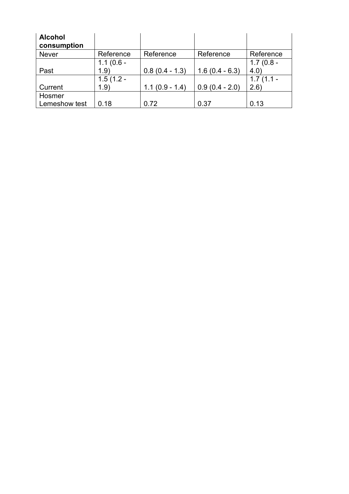| <b>Alcohol</b><br>consumption |             |                  |                  |             |
|-------------------------------|-------------|------------------|------------------|-------------|
| <b>Never</b>                  | Reference   | Reference        | Reference        | Reference   |
|                               | $1.1(0.6 -$ |                  |                  | $1.7(0.8 -$ |
| Past                          | 1.9)        | $0.8(0.4 - 1.3)$ | $1.6(0.4 - 6.3)$ | (4.0)       |
|                               | $1.5(1.2 -$ |                  |                  | $1.7(1.1 -$ |
| Current                       | 1.9)        | $1.1(0.9 - 1.4)$ | $0.9(0.4 - 2.0)$ | 2.6         |
| Hosmer                        |             |                  |                  |             |
| Lemeshow test                 | 0.18        | 0.72             | 0.37             | 0.13        |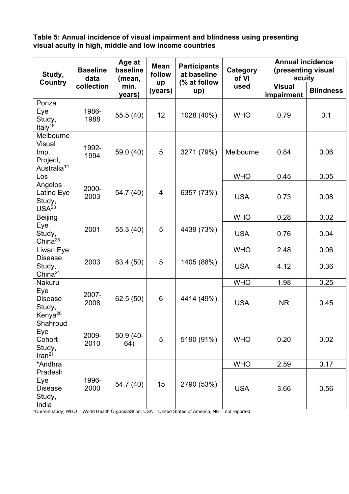**Table 5: Annual incidence of visual impairment and blindness using presenting visual acuity in high, middle and low income countries** 

| Study,<br><b>Country</b>                                                  | <b>Baseline</b><br>data | Age at<br>baseline<br>(mean, | <b>Mean</b><br>follow | <b>Participants</b><br>at baseline<br>(% at follow | Category<br>of VI | <b>Annual incidence</b><br>(presenting visual<br>acuity |                  |  |
|---------------------------------------------------------------------------|-------------------------|------------------------------|-----------------------|----------------------------------------------------|-------------------|---------------------------------------------------------|------------------|--|
|                                                                           | collection              | min.<br>years)               | up<br>(years)         | up)                                                | used              | <b>Visual</b><br>impairment                             | <b>Blindness</b> |  |
| Ponza<br>Eye<br>Study,<br>Italy <sup>18</sup>                             | 1986-<br>1988           | 55.5 (40)                    | 12                    | 1028 (40%)                                         | <b>WHO</b>        | 0.79                                                    | 0.1              |  |
| Melbourne<br><b>Visual</b><br>Imp.<br>Project,<br>Australia <sup>14</sup> | 1992-<br>1994           | 59.0 (40)                    | 5                     | 3271 (79%)                                         | Melbourne         | 0.84                                                    | 0.06             |  |
| Los                                                                       |                         |                              |                       |                                                    | <b>WHO</b>        | 0.45                                                    | 0.05             |  |
| Angelos<br>Latino Eye<br>Study,<br>USA <sup>23</sup>                      | 2000-<br>2003           | 54.7 (40)                    | 4                     | 6357 (73%)                                         | <b>USA</b>        | 0.73                                                    | 0.08             |  |
| <b>Beijing</b>                                                            |                         |                              |                       |                                                    | <b>WHO</b>        | 0.28                                                    | 0.02             |  |
| Eye<br>Study,<br>China $25$                                               | 2001                    | 55.3 (40)                    | 5                     | 4439 (73%)                                         | <b>USA</b>        | 0.76                                                    | 0.04             |  |
| Liwan Eye                                                                 |                         |                              |                       |                                                    | <b>WHO</b>        | 2.48                                                    | 0.06             |  |
| <b>Disease</b><br>Study,<br>China $^{24}$                                 | 2003                    | 63.4 (50)                    | 5                     | 1405 (88%)                                         | <b>USA</b>        | 4.12                                                    | 0.36             |  |
| Nakuru                                                                    |                         |                              |                       |                                                    | <b>WHO</b>        | 1.98                                                    | 0.25             |  |
| Eye<br><b>Disease</b><br>Study,<br>Kenya <sup>20</sup>                    | 2007-<br>2008           | 62.5 (50)                    | 6                     | 4414 (49%)                                         | <b>USA</b>        | <b>NR</b>                                               | 0.45             |  |
| Shahroud<br>Eye<br>Cohort<br>Study,<br>Iran <sup>21</sup>                 | 2009-<br>2010           | 50.9 (40-<br>64)             | 5                     | 5190 (91%)                                         | <b>WHO</b>        | 0.20                                                    | 0.02             |  |
| *Andhra                                                                   |                         |                              |                       |                                                    | <b>WHO</b>        | 2.59                                                    | 0.17             |  |
| Pradesh<br>Eye<br><b>Disease</b><br>Study,<br>India                       | 1996-<br>2000           | 54.7 (40)                    | 15                    | 2790 (53%)                                         | <b>USA</b>        | 3.66                                                    | 0.56             |  |

\*Current study; WHO = World Health OrganizaStion; USA = United States of America; NR = not reported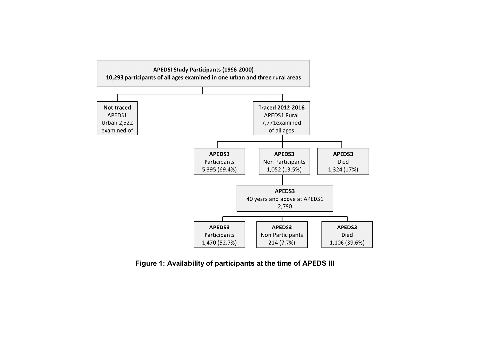

**Figure 1: Availability of participants at the time of APEDS III**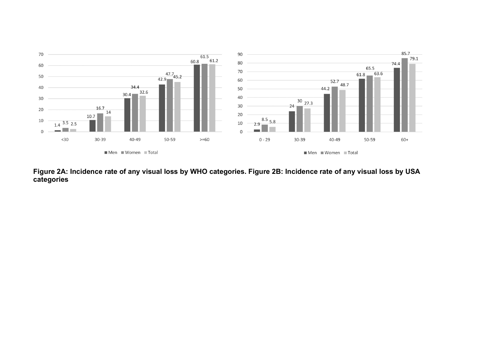

**Figure 2A: Incidence rate of any visual loss by WHO categories. Figure 2B: Incidence rate of any visual loss by USA categories**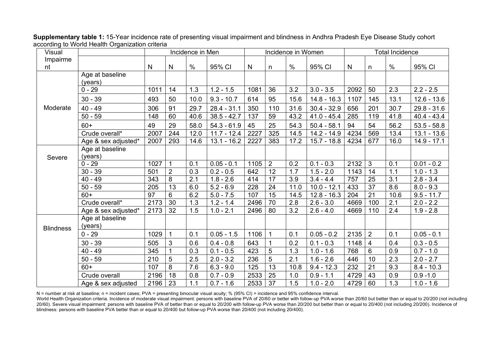| Visual           |                            |                 |                 | Incidence in Men |               |      |                 | Incidence in Women |               | <b>Total Incidence</b> |                 |                  |               |
|------------------|----------------------------|-----------------|-----------------|------------------|---------------|------|-----------------|--------------------|---------------|------------------------|-----------------|------------------|---------------|
| Impairme<br>nt   |                            | $\mathsf{N}$    | $\mathsf{N}$    | $\%$             | 95% CI        | N    | $\mathsf{n}$    | $\%$               | 95% CI        | $\mathsf{N}$           | n               | $\%$             | 95% CI        |
|                  | Age at baseline<br>(years) |                 |                 |                  |               |      |                 |                    |               |                        |                 |                  |               |
|                  | $0 - 29$                   | 1011            | 14              | 1.3              | $1.2 - 1.5$   | 1081 | 36              | 3.2                | $3.0 - 3.5$   | 2092                   | 50              | 2.3              | $2.2 - 2.5$   |
|                  | $30 - 39$                  | 493             | 50              | 10.0             | $9.3 - 10.7$  | 614  | 95              | 15.6               | $14.8 - 16.3$ | 1107                   | 145             | 13.1             | $12.6 - 13.6$ |
| Moderate         | $40 - 49$                  | 306             | 91              | 29.7             | $28.4 - 31.1$ | 350  | 110             | 31.6               | $30.4 - 32.9$ | 656                    | 201             | 30.7             | $29.8 - 31.6$ |
|                  | $50 - 59$                  | 148             | 60              | 40.6             | $38.5 - 42.7$ | 137  | 59              | 43.2               | $41.0 - 45.4$ | 285                    | 119             | 41.8             | 40.4 - 43.4   |
|                  | $60+$                      | 49              | 29              | 58.0             | $54.3 - 61.9$ | 45   | 25              | 54.3               | $50.4 - 58.1$ | 94                     | 54              | 56.2             | $53.5 - 58.8$ |
|                  | Crude overall*             | 2007            | 244             | 12.0             | $11.7 - 12.4$ | 2227 | 325             | 14.5               | 14.2 - 14.9   | 4234                   | 569             | 13.4             | $13.1 - 13.6$ |
|                  | Age & sex adjusted*        | 2007            | 293             | 14.6             | $13.1 - 16.2$ | 2227 | 383             | 17.2               | $15.7 - 18.8$ | 4234                   | 677             | 16.0             | $14.9 - 17.1$ |
| Severe           | Age at baseline<br>(years) |                 |                 |                  |               |      |                 |                    |               |                        |                 |                  |               |
|                  | $0 - 29$                   | 1027            | $\overline{1}$  | 0.1              | $0.05 - 0.1$  | 1105 | $\overline{2}$  | 0.2                | $0.1 - 0.3$   | 2132                   | 3               | 0.1              | $0.01 - 0.2$  |
|                  | $30 - 39$                  | 501             | $\overline{2}$  | 0.3              | $0.2 - 0.5$   | 642  | 12              | 1.7                | $1.5 - 2.0$   | 1143                   | 14              | 1.1              | $1.0 - 1.3$   |
|                  | $40 - 49$                  | $\frac{1}{343}$ | 8               | $\overline{2.1}$ | $1.8 - 2.6$   | 414  | $\overline{17}$ | 3.9                | $3.4 - 4.4$   | 757                    | 25              | $\overline{3.1}$ | $2.8 - 3.4$   |
|                  | $50 - 59$                  | 205             | 13              | 6.0              | $5.2 - 6.9$   | 228  | 24              | 11.0               | $10.0 - 12.1$ | 433                    | $\overline{37}$ | 8.6              | $8.0 - 9.3$   |
|                  | $60+$                      | $\overline{97}$ | 6               | 6.2              | $5.0 - 7.5$   | 107  | 15              | 14.5               | $12.8 - 16.3$ | 204                    | 21              | 10.6             | $9.5 - 11.7$  |
|                  | Crude overall*             | 2173            | $\overline{30}$ | 1.3              | $1.2 - 1.4$   | 2496 | 70              | 2.8                | $2.6 - 3.0$   | 4669                   | 100             | 2.1              | $2.0 - 2.2$   |
|                  | Age & sex adjusted*        | 2173            | 32              | 1.5              | $1.0 - 2.1$   | 2496 | 80              | 3.2                | $2.6 - 4.0$   | 4669                   | 110             | 2.4              | $1.9 - 2.8$   |
| <b>Blindness</b> | Age at baseline<br>(years) |                 |                 |                  |               |      |                 |                    |               |                        |                 |                  |               |
|                  | $0 - 29$                   | 1029            |                 | 0.1              | $0.05 - 1.5$  | 1106 |                 | 0.1                | $0.05 - 0.2$  | 2135                   | $\overline{2}$  | 0.1              | $0.05 - 0.1$  |
|                  | $30 - 39$                  | 505             | 3               | 0.6              | $0.4 - 0.8$   | 643  |                 | 0.2                | $0.1 - 0.3$   | 1148                   | $\overline{4}$  | 0.4              | $0.3 - 0.5$   |
|                  | $40 - 49$                  | 345             |                 | 0.3              | $0.1 - 0.5$   | 423  | 5               | 1.3                | $1.0 - 1.6$   | 768                    | 6               | 0.9              | $0.7 - 1.0$   |
|                  | $50 - 59$                  | 210             | 5               | 2.5              | $2.0 - 3.2$   | 236  | 5               | 2.1                | $1.6 - 2.6$   | 446                    | 10              | 2.3              | $2.0 - 2.7$   |
|                  | $60+$                      | 107             | 8               | 7.6              | $6.3 - 9.0$   | 125  | 13              | 10.8               | $9.4 - 12.3$  | 232                    | 21              | 9.3              | $8.4 - 10.3$  |
|                  | Crude overall              | 2196            | 18              | 0.8              | $0.7 - 0.9$   | 2533 | 25              | 1.0                | $0.9 - 1.1$   | 4729                   | 43              | 0.9              | $0.9 - 1.0$   |
|                  | Age & sex adjusted         | 2196            | 23              | 1.1              | $0.7 - 1.6$   | 2533 | 37              | 1.5                | $1.0 - 2.0$   | 4729                   | 60              | 1.3              | $1.0 - 1.6$   |

**Supplementary table 1:** 15-Year incidence rate of presenting visual impairment and blindness in Andhra Pradesh Eye Disease Study cohort according to World Health Organization criteria

N = number at risk at baseline; n = incident cases; PVA = presenting binocular visual acuity; % (95% CI) = incidence and 95% confidence interval.

World Health Organization criteria. Incidence of moderate visual impairment: persons with baseline PVA of 20/60 or better with follow-up PVA worse than 20/60 but better than or equal to 20/200 (not including 20/60). Severe visual impairment: persons with baseline PVA of better than or equal to 20/200 with follow-up PVA worse than 20/200 but better than or equal to 20/400 (not including 20/200). Incidence of blindness: persons with baseline PVA better than or equal to 20/400 but follow-up PVA worse than 20/400 (not including 20/400).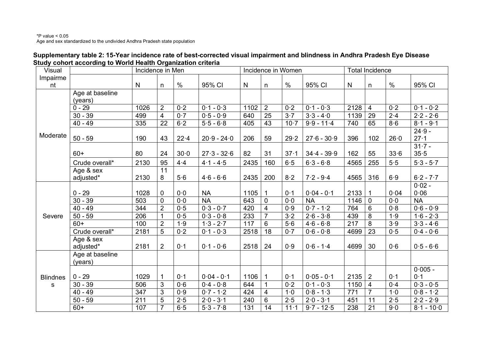| Supplementary table 2: 15-Year incidence rate of best-corrected visual impairment and blindness in Andhra Pradesh Eye Disease |
|-------------------------------------------------------------------------------------------------------------------------------|
| Study cohort according to World Health Organization criteria                                                                  |

| Visual          |                 | Incidence in Men |                 |                  |               |      |                | Incidence in Women |               |                  | <b>Total Incidence</b> |                  |              |
|-----------------|-----------------|------------------|-----------------|------------------|---------------|------|----------------|--------------------|---------------|------------------|------------------------|------------------|--------------|
| Impairme        |                 |                  |                 |                  |               |      |                |                    |               |                  |                        |                  |              |
| nt              |                 | ${\sf N}$        | n               | $\%$             | 95% CI        | N    | n              | $\%$               | 95% CI        | N                | n                      | $\%$             | 95% CI       |
|                 | Age at baseline |                  |                 |                  |               |      |                |                    |               |                  |                        |                  |              |
|                 | (years)         |                  |                 |                  |               |      |                |                    |               |                  |                        |                  |              |
|                 | $0 - 29$        | 1026             | $\overline{2}$  | 0.2              | $0.1 - 0.3$   | 1102 | $\overline{2}$ | $\overline{0.2}$   | $0.1 - 0.3$   | 2128             | $\overline{4}$         | 0.2              | $0.1 - 0.2$  |
|                 | $30 - 39$       | 499              | $\overline{4}$  | 0.7              | $0.5 - 0.9$   | 640  | 25             | 3.7                | $3.3 - 4.0$   | 1139             | 29                     | $2 - 4$          | $2.2 - 2.6$  |
|                 | $40 - 49$       | 335              | $\overline{22}$ | $6-2$            | $5.5 - 6.8$   | 405  | 43             | $10-7$             | $9.9 - 11.4$  | 740              | 65                     | 8.6              | $8.1 - 9.1$  |
| Moderate        |                 |                  |                 |                  |               |      |                |                    |               |                  |                        |                  | $24.9 -$     |
|                 | $50 - 59$       | 190              | 43              | 22.4             | $20.9 - 24.0$ | 206  | 59             | 29.2               | $27.6 - 30.9$ | 396              | 102                    | 26.0             | $27 - 1$     |
|                 |                 |                  |                 |                  |               |      |                |                    |               |                  |                        |                  | $31.7 -$     |
|                 | $60+$           | 80               | 24              | $30-0$           | $27.3 - 32.6$ | 82   | 31             | $37 - 1$           | $34.4 - 39.9$ | 162              | 55                     | 33.6             | 35.5         |
|                 | Crude overall*  | 2130             | 95              | 4.4              | $4.1 - 4.5$   | 2435 | 160            | 6.5                | $6.3 - 6.8$   | 4565             | 255                    | 5.5              | $5.3 - 5.7$  |
|                 | Age & sex       |                  | 11              |                  |               |      |                |                    |               |                  |                        |                  |              |
|                 | adjusted*       | 2130             | 8               | 5.6              | $4.6 - 6.6$   | 2435 | 200            | 8.2                | $7.2 - 9.4$   | 4565             | 316                    | 6.9              | $6.2 - 7.7$  |
|                 |                 |                  |                 |                  |               |      |                |                    |               |                  |                        |                  | $0.02 -$     |
|                 | $0 - 29$        | 1028             | $\mathbf 0$     | 0.0              | <b>NA</b>     | 1105 | $\overline{1}$ | 0.1                | $0.04 - 0.1$  | 2133             |                        | 0.04             | 0.06         |
|                 | $30 - 39$       | 503              | $\mathbf 0$     | $\overline{0.0}$ | <b>NA</b>     | 643  | $\mathbf 0$    | $\overline{0.0}$   | <b>NA</b>     | 1146             | $\overline{0}$         | $\overline{0.0}$ | NA           |
|                 | $40 - 49$       | 344              | $\overline{2}$  | 0.5              | $0.3 - 0.7$   | 420  | $\overline{4}$ | 0.9                | $0.7 - 1.2$   | 764              | 6                      | 0.8              | $0.6 - 0.9$  |
| Severe          | $50 - 59$       | 206              | $\mathbf{1}$    | 0.5              | $0.3 - 0.8$   | 233  | $\overline{7}$ | $3-2$              | $2.6 - 3.8$   | 439              | 8                      | 1.9              | $1.6 - 2.3$  |
|                 | $60+$           | 100              | $\overline{2}$  | 1.9              | $1.3 - 2.7$   | 117  | $6\phantom{1}$ | 5.6                | $4.6 - 6.8$   | 217              | 8                      | 3.9              | $3.3 - 4.6$  |
|                 | Crude overall*  | 2181             | 5               | 0.2              | $0.1 - 0.3$   | 2518 | 18             | 0.7                | $0.6 - 0.8$   | 4699             | 23                     | 0.5              | $0.4 - 0.6$  |
|                 | Age & sex       |                  |                 |                  |               |      |                |                    |               |                  |                        |                  |              |
|                 | adjusted*       | 2181             | $\overline{2}$  | 0.1              | $0.1 - 0.6$   | 2518 | 24             | 0.9                | $0.6 - 1.4$   | 4699             | 30                     | 0.6              | $0.5 - 6.6$  |
|                 | Age at baseline |                  |                 |                  |               |      |                |                    |               |                  |                        |                  |              |
|                 | (years)         |                  |                 |                  |               |      |                |                    |               |                  |                        |                  |              |
|                 |                 |                  |                 |                  |               |      |                |                    |               |                  |                        |                  | $0.005 -$    |
| <b>Blindnes</b> | $0 - 29$        | 1029             | 1               | 0.1              | $0.04 - 0.1$  | 1106 | $\mathbf{1}$   | 0.1                | $0.05 - 0.1$  | 2135             | $\overline{2}$         | 0.1              | 0.1          |
| S               | $30 - 39$       | 506              | $\mathbf{3}$    | 0.6              | $0.4 - 0.8$   | 644  | $\mathbf{1}$   | 0.2                | $0.1 - 0.3$   | 1150             | $\overline{4}$         | 0.4              | $0.3 - 0.5$  |
|                 | $40 - 49$       | 347              | $\overline{3}$  | 0.9              | $0.7 - 1.2$   | 424  | $\overline{4}$ | 1.0                | $0.8 - 1.3$   | $\overline{771}$ | $\overline{7}$         | 1.0              | $0.8 - 1.2$  |
|                 | $50 - 59$       | 211              | $\overline{5}$  | 2.5              | $2.0 - 3.1$   | 240  | $6\phantom{a}$ | 2.5                | $2.0 - 3.1$   | 451              | 11                     | 2.5              | $2.2 - 2.9$  |
|                 | $60+$           | 107              | $\overline{7}$  | 6.5              | $5.3 - 7.8$   | 131  | 14             | $11 - 1$           | $9.7 - 12.5$  | 238              | 21                     | 9.0              | $8.1 - 10.0$ |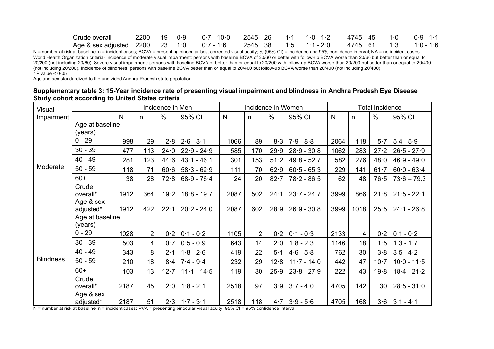| ∽<br>Crude overall          | 2200 | $10^{-1}$<br>10 | 0·c<br>$\cdot$ | 10·C<br>.        | 2545<br>26 |     | . | 4745       | $\cdot$ ( | 0.9<br>ີ               |
|-----------------------------|------|-----------------|----------------|------------------|------------|-----|---|------------|-----------|------------------------|
| Aqe<br>& sex adıusted<br>x. | 2200 | റാ<br>∠◡        | .              | - 10<br>.<br>. . | 2545<br>38 | . . |   | 4745<br>יד |           | $\cdot$ (<br>∙t.<br>`` |

N = number at risk at baseline; n = incident cases; BCVA = presenting binocular best corrected visual acuity; % (95% CI) = incidence and 95% confidence interval; NA = no incident cases. World Health Organization criteria· Incidence of moderate visual impairment: persons with baseline BCVA of 20/60 or better with follow-up BCVA worse than 20/60 but better than or equal to 20/200 (not including 20/60). Severe visual impairment: persons with baseline BCVA of better than or equal to 20/200 with follow-up BCVA worse than 20/200 but better than or equal to 20/400 (not including 20/200). Incidence of blindness: persons with baseline BCVA better than or equal to 20/400 but follow-up BCVA worse than 20/400 (not including 20/400).  $*$  P value <  $0.05$ 

Age and sex standardized to the undivided Andhra Pradesh state population

| Supplementary table 3: 15-Year incidence rate of presenting visual impairment and blindness in Andhra Pradesh Eye Disease |  |
|---------------------------------------------------------------------------------------------------------------------------|--|
| <b>Study cohort according to United States criteria</b>                                                                   |  |

| Visual           |                            |              |                | Incidence in Men |                           |      | Incidence in Women | <b>Total Incidence</b> |               |      |                |          |                     |
|------------------|----------------------------|--------------|----------------|------------------|---------------------------|------|--------------------|------------------------|---------------|------|----------------|----------|---------------------|
| Impairment       |                            | $\mathsf{N}$ | n              | $\frac{0}{0}$    | 95% CI                    | N    | n                  | $\%$                   | 95% CI        | N    | n              | $\%$     | 95% CI              |
| Moderate         | Age at baseline<br>(years) |              |                |                  |                           |      |                    |                        |               |      |                |          |                     |
|                  | $0 - 29$                   | 998          | 29             | 2.8              | $2.6 - 3.1$               | 1066 | 89                 | 8.3                    | $7.9 - 8.8$   | 2064 | 118            | 5.7      | $5.4 - 5.9$         |
|                  | $30 - 39$                  | 477          | 113            | 24.0             | $22.9 - 24.9$             | 585  | 170                | 29.9                   | $28.9 - 30.8$ | 1062 | 283            | 27.2     | $26.5 - 27.9$       |
|                  | $40 - 49$                  | 281          | 123            | 44.6             | $43.1 - 46.1$             | 301  | 153                | 51.2                   | $49.8 - 52.7$ | 582  | 276            | 48.0     | $46.9 - 49.0$       |
|                  | $50 - 59$                  | 118          | 71             | 60.6             | $58.3 - 62.9$             | 111  | 70                 | 62.9                   | $60.5 - 65.3$ | 229  | 141            | $61 - 7$ | $60.0 - 63.4$       |
|                  | $60+$                      | 38           | 28             | 72.8             | $68-9 - 76.4$             | 24   | 20                 | $82 - 7$               | $78.2 - 86.5$ | 62   | 48             | 76.5     | $73.6 - 79.3$       |
|                  | Crude<br>overall*          | 1912         | 364            | 19.2             | $18.8 - 19.7$             | 2087 | 502                | 24.1                   | $23.7 - 24.7$ | 3999 | 866            | 21.8     | $21.5 - 22.1$       |
|                  | Age & sex<br>adjusted*     | 1912         | 422            | 22.1             | $20.2 - 24.0$             | 2087 | 602                | 28.9                   | $26.9 - 30.8$ | 3999 | 1018           | 25.5     | $24.1 - 26.8$       |
|                  | Age at baseline<br>(years) |              |                |                  |                           |      |                    |                        |               |      |                |          |                     |
|                  | $0 - 29$                   | 1028         | $\overline{2}$ | 0.2              | $0.1 - 0.2$               | 1105 | $\overline{2}$     | 0.2                    | $0.1 - 0.3$   | 2133 | $\overline{4}$ | 0.2      | $0.1 - 0.2$         |
|                  | $30 - 39$                  | 503          | $\overline{4}$ | 0.7              | $0.5 - 0.9$               | 643  | 14                 | 2.0                    | $1.8 - 2.3$   | 1146 | 18             | 1.5      | $1.3 - 1.7$         |
|                  | $40 - 49$                  | 343          | 8              | 2.1              | $1.8 - 2.6$               | 419  | 22                 | $5-1$                  | $4.6 - 5.8$   | 762  | 30             | 3.8      | $3.5 - 4.2$         |
| <b>Blindness</b> | $50 - 59$                  | 210          | 18             | 8·4              | $7.4 - 9.4$               | 232  | 29                 | 12.8                   | $11.7 - 14.0$ | 442  | 47             | $10-7$   | $10.0 - 11.5$       |
|                  | $60+$                      | 103          | 13             | 12.7             | $11 \cdot 1 - 14 \cdot 5$ | 119  | 30                 | 25.9                   | $23.8 - 27.9$ | 222  | 43             | 19.8     | $18.4 - 21.2$       |
|                  | Crude<br>overall*          | 2187         | 45             | 2.0              | $1.8 - 2.1$               | 2518 | 97                 | 3.9                    | $3.7 - 4.0$   | 4705 | 142            | 30       | $28.5 - 31.0$       |
|                  | Age & sex<br>adjusted*     | 2187         | 51             |                  | $2.3$   1.7 - 3.1         | 2518 | 118                | 4.7                    | $3.9 - 5.6$   | 4705 | 168            |          | $3.6$   $3.1 - 4.1$ |

N = number at risk at baseline; n = incident cases; PVA = presenting binocular visual acuity; 95% CI = 95% confidence interval